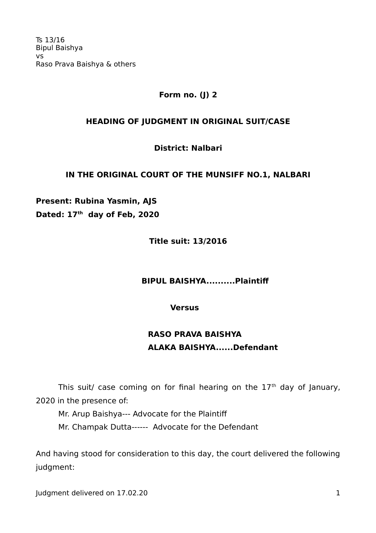Ts 13/16 Bipul Baishya vs Raso Prava Baishya & others

### **Form no. (J) 2**

#### **HEADING OF JUDGMENT IN ORIGINAL SUIT/CASE**

### **District: Nalbari**

### **IN THE ORIGINAL COURT OF THE MUNSIFF NO.1, NALBARI**

**Present: Rubina Yasmin, AJS Dated: 17th day of Feb, 2020** 

**Title suit: 13/2016**

 **BIPUL BAISHYA..........Plaintif**

**Versus**

# **RASO PRAVA BAISHYA ALAKA BAISHYA......Defendant**

This suit/ case coming on for final hearing on the  $17<sup>th</sup>$  day of January, 2020 in the presence of:

Mr. Arup Baishya--- Advocate for the Plaintif Mr. Champak Dutta------ Advocate for the Defendant

And having stood for consideration to this day, the court delivered the following judgment:

Judgment delivered on 17.02.20 1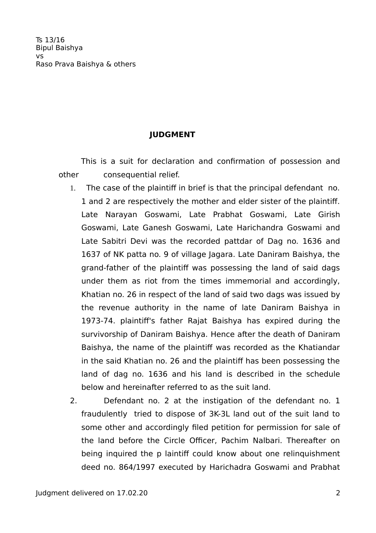# **JUDGMENT**

This is a suit for declaration and confirmation of possession and other consequential relief.

- 1. The case of the plaintif in brief is that the principal defendant no. 1 and 2 are respectively the mother and elder sister of the plaintif. Late Narayan Goswami, Late Prabhat Goswami, Late Girish Goswami, Late Ganesh Goswami, Late Harichandra Goswami and Late Sabitri Devi was the recorded pattdar of Dag no. 1636 and 1637 of NK patta no. 9 of village Jagara. Late Daniram Baishya, the grand-father of the plaintif was possessing the land of said dags under them as riot from the times immemorial and accordingly, Khatian no. 26 in respect of the land of said two dags was issued by the revenue authority in the name of late Daniram Baishya in 1973-74. plaintif's father Rajat Baishya has expired during the survivorship of Daniram Baishya. Hence after the death of Daniram Baishya, the name of the plaintif was recorded as the Khatiandar in the said Khatian no. 26 and the plaintif has been possessing the land of dag no. 1636 and his land is described in the schedule below and hereinafter referred to as the suit land.
- 2. Defendant no. 2 at the instigation of the defendant no. 1 fraudulently tried to dispose of 3K-3L land out of the suit land to some other and accordingly filed petition for permission for sale of the land before the Circle Officer, Pachim Nalbari. Thereafter on being inquired the p laintiff could know about one relinquishment deed no. 864/1997 executed by Harichadra Goswami and Prabhat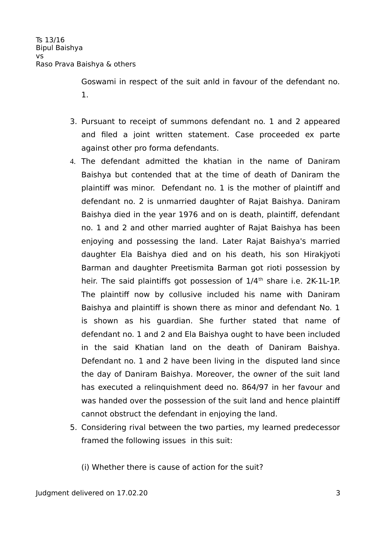Goswami in respect of the suit anld in favour of the defendant no. 1.

- 3. Pursuant to receipt of summons defendant no. 1 and 2 appeared and filed a joint written statement. Case proceeded ex parte against other pro forma defendants.
- 4. The defendant admitted the khatian in the name of Daniram Baishya but contended that at the time of death of Daniram the plaintif was minor. Defendant no. 1 is the mother of plaintif and defendant no. 2 is unmarried daughter of Rajat Baishya. Daniram Baishya died in the year 1976 and on is death, plaintif, defendant no. 1 and 2 and other married aughter of Rajat Baishya has been enjoying and possessing the land. Later Rajat Baishya's married daughter Ela Baishya died and on his death, his son Hirakjyoti Barman and daughter Preetismita Barman got rioti possession by heir. The said plaintiffs got possession of  $1/4<sup>th</sup>$  share i.e. 2K-1L-1P. The plaintiff now by collusive included his name with Daniram Baishya and plaintiff is shown there as minor and defendant No. 1 is shown as his guardian. She further stated that name of defendant no. 1 and 2 and Ela Baishya ought to have been included in the said Khatian land on the death of Daniram Baishya. Defendant no. 1 and 2 have been living in the disputed land since the day of Daniram Baishya. Moreover, the owner of the suit land has executed a relinquishment deed no. 864/97 in her favour and was handed over the possession of the suit land and hence plaintiff cannot obstruct the defendant in enjoying the land.
- 5. Considering rival between the two parties, my learned predecessor framed the following issues in this suit:

(i) Whether there is cause of action for the suit?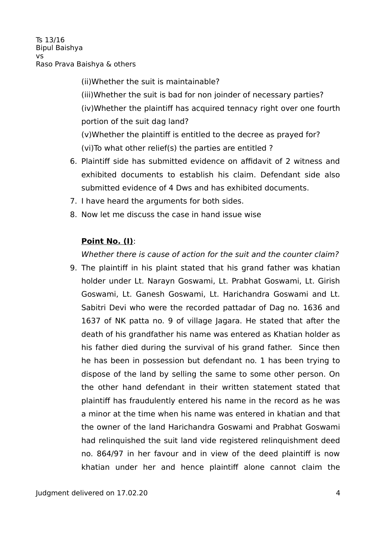Ts 13/16 Bipul Baishya  $V<sub>c</sub>$ Raso Prava Baishya & others

> (ii)Whether the suit is maintainable? (iii)Whether the suit is bad for non joinder of necessary parties? (iv)Whether the plaintif has acquired tennacy right over one fourth portion of the suit dag land?

(v)Whether the plaintif is entitled to the decree as prayed for? (vi)To what other relief(s) the parties are entitled ?

- 6. Plaintif side has submitted evidence on affidavit of 2 witness and exhibited documents to establish his claim. Defendant side also submitted evidence of 4 Dws and has exhibited documents.
- 7. I have heard the arguments for both sides.
- 8. Now let me discuss the case in hand issue wise

# **Point No. (I)**:

Whether there is cause of action for the suit and the counter claim?

9. The plaintif in his plaint stated that his grand father was khatian holder under Lt. Narayn Goswami, Lt. Prabhat Goswami, Lt. Girish Goswami, Lt. Ganesh Goswami, Lt. Harichandra Goswami and Lt. Sabitri Devi who were the recorded pattadar of Dag no. 1636 and 1637 of NK patta no. 9 of village Jagara. He stated that after the death of his grandfather his name was entered as Khatian holder as his father died during the survival of his grand father. Since then he has been in possession but defendant no. 1 has been trying to dispose of the land by selling the same to some other person. On the other hand defendant in their written statement stated that plaintif has fraudulently entered his name in the record as he was a minor at the time when his name was entered in khatian and that the owner of the land Harichandra Goswami and Prabhat Goswami had relinquished the suit land vide registered relinquishment deed no. 864/97 in her favour and in view of the deed plaintif is now khatian under her and hence plaintif alone cannot claim the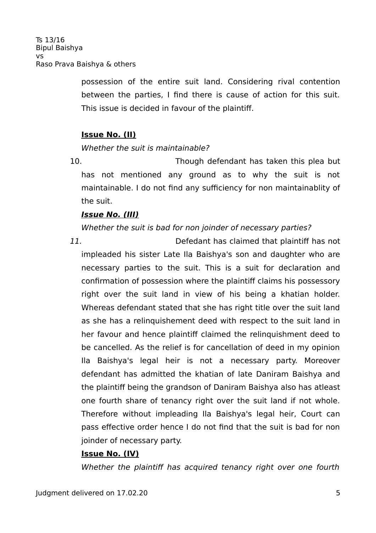possession of the entire suit land. Considering rival contention between the parties, I find there is cause of action for this suit. This issue is decided in favour of the plaintif.

# **Issue No. (II)**

### Whether the suit is maintainable?

10. Though defendant has taken this plea but has not mentioned any ground as to why the suit is not maintainable. I do not find any sufficiency for non maintainablity of the suit.

### **Issue No. (III)**

# Whether the suit is bad for non joinder of necessary parties?

11. Defedant has claimed that plaintif has not impleaded his sister Late Ila Baishya's son and daughter who are necessary parties to the suit. This is a suit for declaration and confirmation of possession where the plaintif claims his possessory right over the suit land in view of his being a khatian holder. Whereas defendant stated that she has right title over the suit land as she has a relinquishement deed with respect to the suit land in her favour and hence plaintif claimed the relinquishment deed to be cancelled. As the relief is for cancellation of deed in my opinion Ila Baishya's legal heir is not a necessary party. Moreover defendant has admitted the khatian of late Daniram Baishya and the plaintif being the grandson of Daniram Baishya also has atleast one fourth share of tenancy right over the suit land if not whole. Therefore without impleading Ila Baishya's legal heir, Court can pass efective order hence I do not find that the suit is bad for non joinder of necessary party.

### **Issue No. (IV)**

Whether the plaintiff has acquired tenancy right over one fourth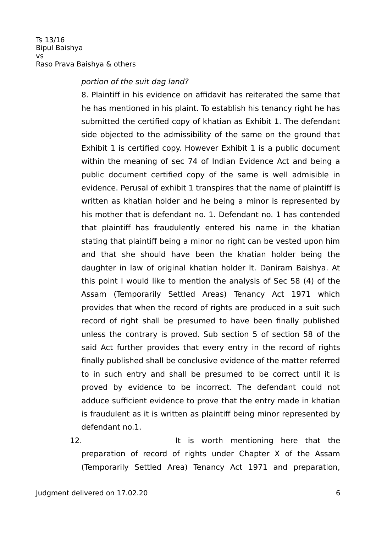### portion of the suit dag land?

8. Plaintif in his evidence on affidavit has reiterated the same that he has mentioned in his plaint. To establish his tenancy right he has submitted the certified copy of khatian as Exhibit 1. The defendant side objected to the admissibility of the same on the ground that Exhibit 1 is certified copy. However Exhibit 1 is a public document within the meaning of sec 74 of Indian Evidence Act and being a public document certified copy of the same is well admisible in evidence. Perusal of exhibit 1 transpires that the name of plaintif is written as khatian holder and he being a minor is represented by his mother that is defendant no. 1. Defendant no. 1 has contended that plaintif has fraudulently entered his name in the khatian stating that plaintif being a minor no right can be vested upon him and that she should have been the khatian holder being the daughter in law of original khatian holder lt. Daniram Baishya. At this point I would like to mention the analysis of Sec 58 (4) of the Assam (Temporarily Settled Areas) Tenancy Act 1971 which provides that when the record of rights are produced in a suit such record of right shall be presumed to have been finally published unless the contrary is proved. Sub section 5 of section 58 of the said Act further provides that every entry in the record of rights finally published shall be conclusive evidence of the matter referred to in such entry and shall be presumed to be correct until it is proved by evidence to be incorrect. The defendant could not adduce sufficient evidence to prove that the entry made in khatian is fraudulent as it is written as plaintif being minor represented by defendant no.1.

12. The same is worth mentioning here that the preparation of record of rights under Chapter X of the Assam (Temporarily Settled Area) Tenancy Act 1971 and preparation,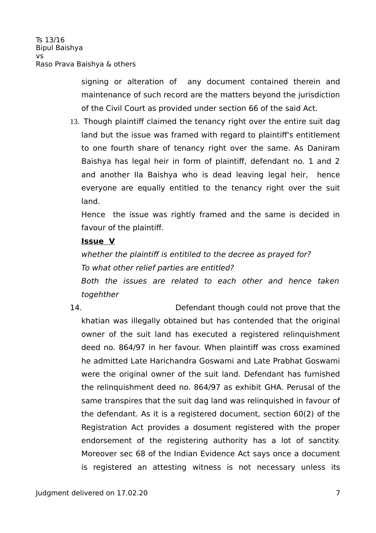signing or alteration of any document contained therein and maintenance of such record are the matters beyond the jurisdiction of the Civil Court as provided under section 66 of the said Act.

13. Though plaintif claimed the tenancy right over the entire suit dag land but the issue was framed with regard to plaintif's entitlement to one fourth share of tenancy right over the same. As Daniram Baishya has legal heir in form of plaintif, defendant no. 1 and 2 and another Ila Baishya who is dead leaving legal heir, hence everyone are equally entitled to the tenancy right over the suit land.

Hence the issue was rightly framed and the same is decided in favour of the plaintif.

### **Issue V**

whether the plaintiff is entitiled to the decree as prayed for? To what other relief parties are entitled?

Both the issues are related to each other and hence taken togehther

14. Defendant though could not prove that the khatian was illegally obtained but has contended that the original owner of the suit land has executed a registered relinquishment deed no. 864/97 in her favour. When plaintif was cross examined he admitted Late Harichandra Goswami and Late Prabhat Goswami were the original owner of the suit land. Defendant has furnished the relinquishment deed no. 864/97 as exhibit GHA. Perusal of the same transpires that the suit dag land was relinquished in favour of the defendant. As it is a registered document, section 60(2) of the Registration Act provides a dosument registered with the proper endorsement of the registering authority has a lot of sanctity. Moreover sec 68 of the Indian Evidence Act says once a document is registered an attesting witness is not necessary unless its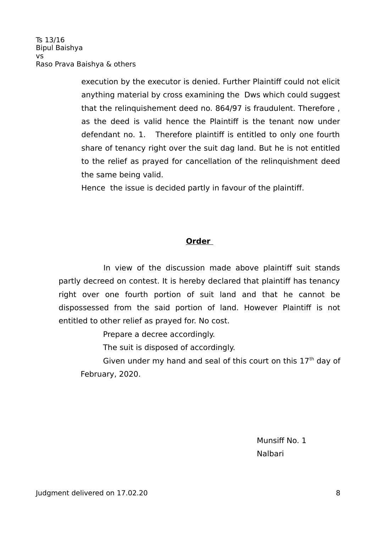execution by the executor is denied. Further Plaintiff could not elicit anything material by cross examining the Dws which could suggest that the relinquishement deed no. 864/97 is fraudulent. Therefore , as the deed is valid hence the Plaintiff is the tenant now under defendant no. 1. Therefore plaintif is entitled to only one fourth share of tenancy right over the suit dag land. But he is not entitled to the relief as prayed for cancellation of the relinquishment deed the same being valid.

Hence the issue is decided partly in favour of the plaintif.

# **Order**

In view of the discussion made above plaintiff suit stands partly decreed on contest. It is hereby declared that plaintiff has tenancy right over one fourth portion of suit land and that he cannot be dispossessed from the said portion of land. However Plaintif is not entitled to other relief as prayed for. No cost.

Prepare a decree accordingly.

The suit is disposed of accordingly.

Given under my hand and seal of this court on this  $17<sup>th</sup>$  day of February, 2020.

Munsiff No. 1 Nalbari